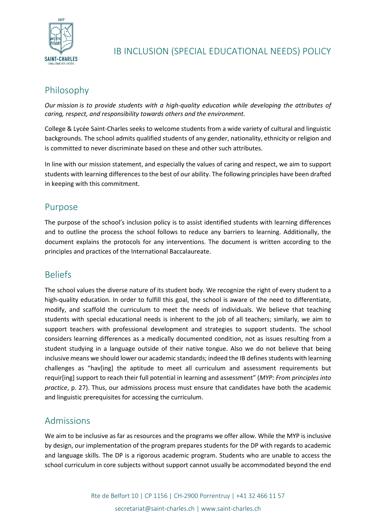

# IB INCLUSION (SPECIAL EDUCATIONAL NEEDS) POLICY

# Philosophy

*Our mission is to provide students with a high-quality education while developing the attributes of caring, respect, and responsibility towards others and the environment.*

College & Lycée Saint-Charles seeks to welcome students from a wide variety of cultural and linguistic backgrounds. The school admits qualified students of any gender, nationality, ethnicity or religion and is committed to never discriminate based on these and other such attributes.

In line with our mission statement, and especially the values of caring and respect, we aim to support students with learning differences to the best of our ability. The following principles have been drafted in keeping with this commitment.

### Purpose

The purpose of the school's inclusion policy is to assist identified students with learning differences and to outline the process the school follows to reduce any barriers to learning. Additionally, the document explains the protocols for any interventions. The document is written according to the principles and practices of the International Baccalaureate.

## **Beliefs**

The school values the diverse nature of its student body. We recognize the right of every student to a high-quality education. In order to fulfill this goal, the school is aware of the need to differentiate, modify, and scaffold the curriculum to meet the needs of individuals. We believe that teaching students with special educational needs is inherent to the job of all teachers; similarly, we aim to support teachers with professional development and strategies to support students. The school considers learning differences as a medically documented condition, not as issues resulting from a student studying in a language outside of their native tongue. Also we do not believe that being inclusive means we should lower our academic standards; indeed the IB defines students with learning challenges as "hav[ing] the aptitude to meet all curriculum and assessment requirements but requir[ing] support to reach their full potential in learning and assessment" (*MYP: From principles into practice*, p. 27). Thus, our admissions process must ensure that candidates have both the academic and linguistic prerequisites for accessing the curriculum.

## Admissions

We aim to be inclusive as far as resources and the programs we offer allow. While the MYP is inclusive by design, our implementation of the program prepares students for the DP with regards to academic and language skills. The DP is a rigorous academic program. Students who are unable to access the school curriculum in core subjects without support cannot usually be accommodated beyond the end